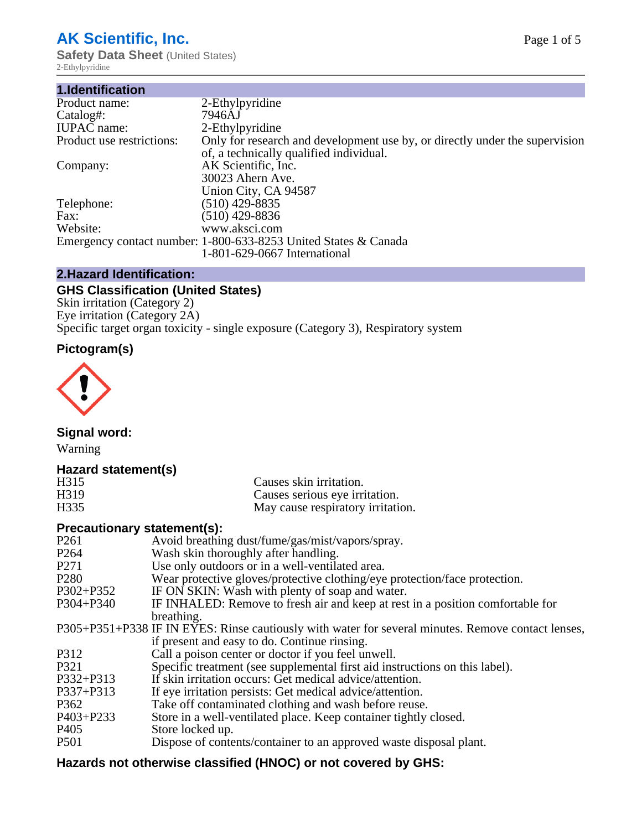# **AK Scientific, Inc.**

**Safety Data Sheet** (United States) 2-Ethylpyridine

| 1.Identification          |                                                                                                                        |
|---------------------------|------------------------------------------------------------------------------------------------------------------------|
| Product name:             | 2-Ethylpyridine                                                                                                        |
| Catalog#:                 | 7946AJ                                                                                                                 |
| <b>IUPAC</b> name:        | 2-Ethylpyridine                                                                                                        |
| Product use restrictions: | Only for research and development use by, or directly under the supervision<br>of, a technically qualified individual. |
| Company:                  | AK Scientific, Inc.                                                                                                    |
|                           | 30023 Ahern Ave.                                                                                                       |
|                           | Union City, CA 94587                                                                                                   |
| Telephone:                | $(510)$ 429-8835                                                                                                       |
| Fax:                      | (510) 429-8836                                                                                                         |
| Website:                  | www.aksci.com                                                                                                          |
|                           | Emergency contact number: 1-800-633-8253 United States & Canada                                                        |
|                           | 1-801-629-0667 International                                                                                           |
|                           |                                                                                                                        |

# **2.Hazard Identification:**

# **GHS Classification (United States)**

Skin irritation (Category 2) Eye irritation (Category 2A) Specific target organ toxicity - single exposure (Category 3), Respiratory system

# **Pictogram(s)**



**Signal word:**

Warning

## **Hazard statement(s)**

| H <sub>315</sub>  | Causes skin irritation.           |
|-------------------|-----------------------------------|
| H <sub>3</sub> 19 | Causes serious eye irritation.    |
| H335              | May cause respiratory irritation. |

## **Precautionary statement(s):**

| P <sub>261</sub> | Avoid breathing dust/fume/gas/mist/vapors/spray.                                                   |
|------------------|----------------------------------------------------------------------------------------------------|
| P <sub>264</sub> | Wash skin thoroughly after handling.                                                               |
| P <sub>271</sub> | Use only outdoors or in a well-ventilated area.                                                    |
| P <sub>280</sub> | Wear protective gloves/protective clothing/eye protection/face protection.                         |
| P302+P352        | IF ON SKIN: Wash with plenty of soap and water.                                                    |
| $P304 + P340$    | IF INHALED: Remove to fresh air and keep at rest in a position comfortable for                     |
|                  | breathing.                                                                                         |
|                  | P305+P351+P338 IF IN EYES: Rinse cautiously with water for several minutes. Remove contact lenses, |
|                  | if present and easy to do. Continue rinsing.                                                       |
| P312             | Call a poison center or doctor if you feel unwell.                                                 |
| P321             | Specific treatment (see supplemental first aid instructions on this label).                        |
| P332+P313        | If skin irritation occurs: Get medical advice/attention.                                           |
| P337+P313        | If eye irritation persists: Get medical advice/attention.                                          |
| P362             | Take off contaminated clothing and wash before reuse.                                              |
| $P403 + P233$    | Store in a well-ventilated place. Keep container tightly closed.                                   |
| P <sub>405</sub> | Store locked up.                                                                                   |
| P <sub>501</sub> | Dispose of contents/container to an approved waste disposal plant.                                 |
|                  |                                                                                                    |

# **Hazards not otherwise classified (HNOC) or not covered by GHS:**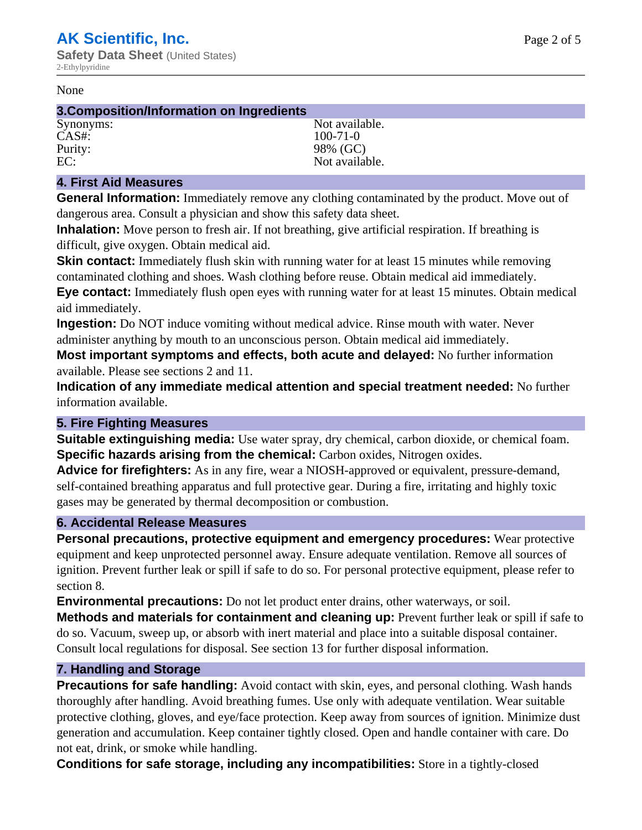#### None

#### **3.Composition/Information on Ingredients**

CAS#: 100-71-0 Purity: 98% (GC)

Synonyms: Not available. EC: Not available.

#### **4. First Aid Measures**

**General Information:** Immediately remove any clothing contaminated by the product. Move out of dangerous area. Consult a physician and show this safety data sheet.

**Inhalation:** Move person to fresh air. If not breathing, give artificial respiration. If breathing is difficult, give oxygen. Obtain medical aid.

**Skin contact:** Immediately flush skin with running water for at least 15 minutes while removing contaminated clothing and shoes. Wash clothing before reuse. Obtain medical aid immediately. **Eye contact:** Immediately flush open eyes with running water for at least 15 minutes. Obtain medical aid immediately.

**Ingestion:** Do NOT induce vomiting without medical advice. Rinse mouth with water. Never administer anything by mouth to an unconscious person. Obtain medical aid immediately.

**Most important symptoms and effects, both acute and delayed:** No further information available. Please see sections 2 and 11.

**Indication of any immediate medical attention and special treatment needed:** No further information available.

#### **5. Fire Fighting Measures**

**Suitable extinguishing media:** Use water spray, dry chemical, carbon dioxide, or chemical foam. **Specific hazards arising from the chemical:** Carbon oxides, Nitrogen oxides.

**Advice for firefighters:** As in any fire, wear a NIOSH-approved or equivalent, pressure-demand, self-contained breathing apparatus and full protective gear. During a fire, irritating and highly toxic gases may be generated by thermal decomposition or combustion.

#### **6. Accidental Release Measures**

**Personal precautions, protective equipment and emergency procedures:** Wear protective equipment and keep unprotected personnel away. Ensure adequate ventilation. Remove all sources of ignition. Prevent further leak or spill if safe to do so. For personal protective equipment, please refer to section 8.

**Environmental precautions:** Do not let product enter drains, other waterways, or soil.

**Methods and materials for containment and cleaning up:** Prevent further leak or spill if safe to do so. Vacuum, sweep up, or absorb with inert material and place into a suitable disposal container. Consult local regulations for disposal. See section 13 for further disposal information.

#### **7. Handling and Storage**

**Precautions for safe handling:** Avoid contact with skin, eyes, and personal clothing. Wash hands thoroughly after handling. Avoid breathing fumes. Use only with adequate ventilation. Wear suitable protective clothing, gloves, and eye/face protection. Keep away from sources of ignition. Minimize dust generation and accumulation. Keep container tightly closed. Open and handle container with care. Do not eat, drink, or smoke while handling.

**Conditions for safe storage, including any incompatibilities:** Store in a tightly-closed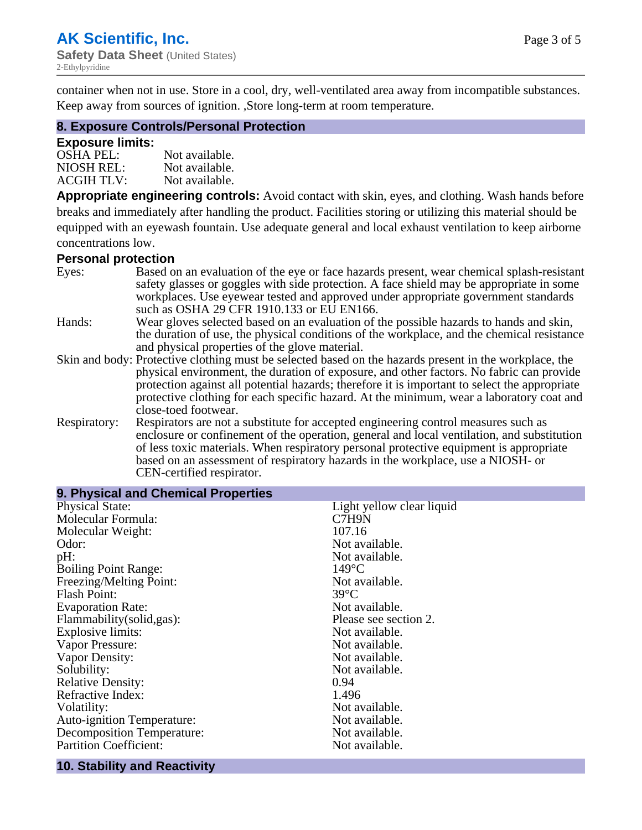×,

container when not in use. Store in a cool, dry, well-ventilated area away from incompatible substances. Keep away from sources of ignition. ,Store long-term at room temperature.

#### **8. Exposure Controls/Personal Protection**

#### **Exposure limits:**

| <b>OSHA PEL:</b>  | Not available. |
|-------------------|----------------|
| NIOSH REL:        | Not available. |
| <b>ACGIH TLV:</b> | Not available. |

**Appropriate engineering controls:** Avoid contact with skin, eyes, and clothing. Wash hands before breaks and immediately after handling the product. Facilities storing or utilizing this material should be equipped with an eyewash fountain. Use adequate general and local exhaust ventilation to keep airborne concentrations low.

#### **Personal protection**

| Eyes:        | Based on an evaluation of the eye or face hazards present, wear chemical splash-resistant<br>safety glasses or goggles with side protection. A face shield may be appropriate in some |
|--------------|---------------------------------------------------------------------------------------------------------------------------------------------------------------------------------------|
|              | workplaces. Use eyewear tested and approved under appropriate government standards<br>such as OSHA 29 CFR 1910.133 or EU EN166.                                                       |
| Hands:       | Wear gloves selected based on an evaluation of the possible hazards to hands and skin,                                                                                                |
|              | the duration of use, the physical conditions of the workplace, and the chemical resistance                                                                                            |
|              | and physical properties of the glove material.                                                                                                                                        |
|              | Skin and body: Protective clothing must be selected based on the hazards present in the workplace, the                                                                                |
|              | physical environment, the duration of exposure, and other factors. No fabric can provide                                                                                              |
|              | protection against all potential hazards; therefore it is important to select the appropriate                                                                                         |
|              | protective clothing for each specific hazard. At the minimum, wear a laboratory coat and                                                                                              |
|              | close-toed footwear.                                                                                                                                                                  |
| Respiratory: | Respirators are not a substitute for accepted engineering control measures such as<br>enclosure or confinement of the operation, general and local ventilation, and substitution      |
|              | of less toxic materials. When respiratory personal protective equipment is appropriate                                                                                                |
|              |                                                                                                                                                                                       |
|              | based on an assessment of respiratory hazards in the workplace, use a NIOSH- or                                                                                                       |
|              | CEN-certified respirator.                                                                                                                                                             |

| 9. Physical and Chemical Properties |                           |
|-------------------------------------|---------------------------|
| <b>Physical State:</b>              | Light yellow clear liquid |
| Molecular Formula:                  | C7H9N                     |
| Molecular Weight:                   | 107.16                    |
| Odor:                               | Not available.            |
| pH:                                 | Not available.            |
| <b>Boiling Point Range:</b>         | $149^{\circ}$ C           |
| Freezing/Melting Point:             | Not available.            |
| <b>Flash Point:</b>                 | $39^{\circ}$ C            |
| <b>Evaporation Rate:</b>            | Not available.            |
| Flammability(solid,gas):            | Please see section 2.     |
| Explosive limits:                   | Not available.            |
| Vapor Pressure:                     | Not available.            |
| Vapor Density:                      | Not available.            |
| Solubility:                         | Not available.            |
| <b>Relative Density:</b>            | 0.94                      |
| Refractive Index:                   | 1.496                     |
| Volatility:                         | Not available.            |
| <b>Auto-ignition Temperature:</b>   | Not available.            |
| <b>Decomposition Temperature:</b>   | Not available.            |
| <b>Partition Coefficient:</b>       | Not available.            |
|                                     |                           |

#### **10. Stability and Reactivity**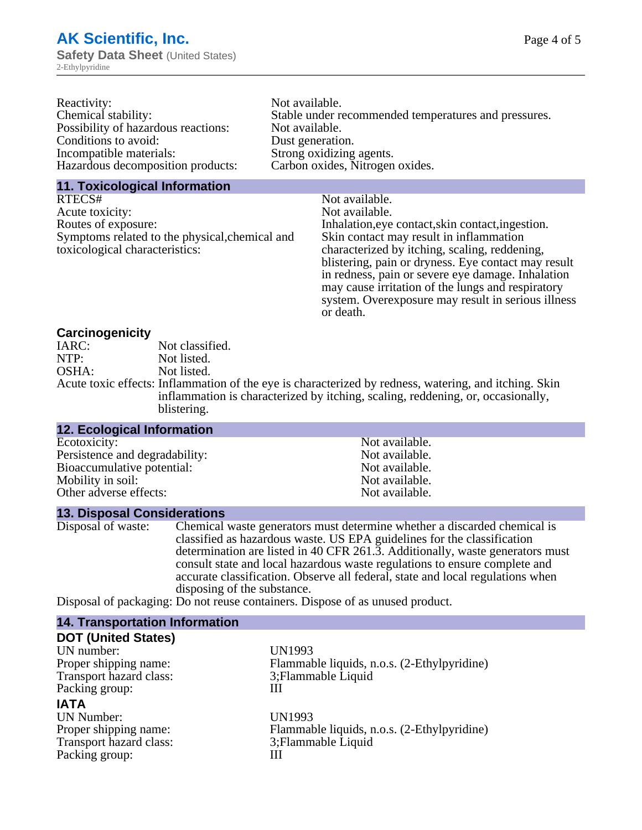| Reactivity:                         | Not available.                                       |
|-------------------------------------|------------------------------------------------------|
| Chemical stability:                 | Stable under recommended temperatures and pressures. |
| Possibility of hazardous reactions: | Not available.                                       |
| Conditions to avoid:                | Dust generation.                                     |
| Incompatible materials:             | Strong oxidizing agents.                             |
| Hazardous decomposition products:   | Carbon oxides, Nitrogen oxides.                      |
|                                     |                                                      |

# **11. Toxicological Information**

| RTECS#                                         | Not available.                                      |
|------------------------------------------------|-----------------------------------------------------|
| Acute toxicity:                                | Not available.                                      |
| Routes of exposure:                            | Inhalation, eye contact, skin contact, ingestion.   |
| Symptoms related to the physical, chemical and | Skin contact may result in inflammation             |
| toxicological characteristics:                 | characterized by itching, scaling, reddening,       |
|                                                | blistering, pain or dryness. Eye contact may result |
|                                                | in redness, pain or severe eye damage. Inhalation   |
|                                                | may cause irritation of the lungs and respiratory   |
|                                                | system. Overexposure may result in serious illness  |

or death.

# **Carcinogenicity**

| IARC: | Not classified.                                                                                       |
|-------|-------------------------------------------------------------------------------------------------------|
| NTP:  | Not listed.                                                                                           |
| OSHA: | Not listed.                                                                                           |
|       | Acute toxic effects: Inflammation of the eye is characterized by redness, watering, and itching. Skin |
|       | inflammation is characterized by itching, scaling, reddening, or, occasionally,                       |
|       | blistering.                                                                                           |

| 12. Ecological Information     |                |  |
|--------------------------------|----------------|--|
| Ecotoxicity:                   | Not available. |  |
| Persistence and degradability: | Not available. |  |
| Bioaccumulative potential:     | Not available. |  |
| Mobility in soil:              | Not available. |  |
| Other adverse effects:         | Not available. |  |

### **13. Disposal Considerations**

| Disposal of waste: | Chemical waste generators must determine whether a discarded chemical is                                                                                                                                         |
|--------------------|------------------------------------------------------------------------------------------------------------------------------------------------------------------------------------------------------------------|
|                    | classified as hazardous waste. US EPA guidelines for the classification                                                                                                                                          |
|                    | determination are listed in 40 CFR 261.3. Additionally, waste generators must                                                                                                                                    |
|                    | consult state and local hazardous waste regulations to ensure complete and                                                                                                                                       |
|                    | accurate classification. Observe all federal, state and local regulations when                                                                                                                                   |
|                    | disposing of the substance.                                                                                                                                                                                      |
|                    | $\mathbf{D}_{\text{total}}^{t}$ of $\mathbf{f}_{\text{total}}^{t}$ , $\mathbf{f}_{\text{total}}^{t}$ and $\mathbf{f}_{\text{model}}^{t}$ and $\mathbf{f}_{\text{total}}^{t}$ and $\mathbf{f}_{\text{total}}^{t}$ |

Disposal of packaging: Do not reuse containers. Dispose of as unused product.

| <b>14. Transportation Information</b> |                                             |
|---------------------------------------|---------------------------------------------|
| <b>DOT (United States)</b>            |                                             |
| UN number:                            | UN1993                                      |
| Proper shipping name:                 | Flammable liquids, n.o.s. (2-Ethylpyridine) |
| Transport hazard class:               | 3; Flammable Liquid                         |
| Packing group:                        | Ш                                           |
| <b>IATA</b>                           |                                             |
| <b>UN Number:</b>                     | UN1993                                      |
| Proper shipping name:                 | Flammable liquids, n.o.s. (2-Ethylpyridine) |
| Transport hazard class:               | 3; Flammable Liquid                         |
| Packing group:                        | Ш                                           |
|                                       |                                             |